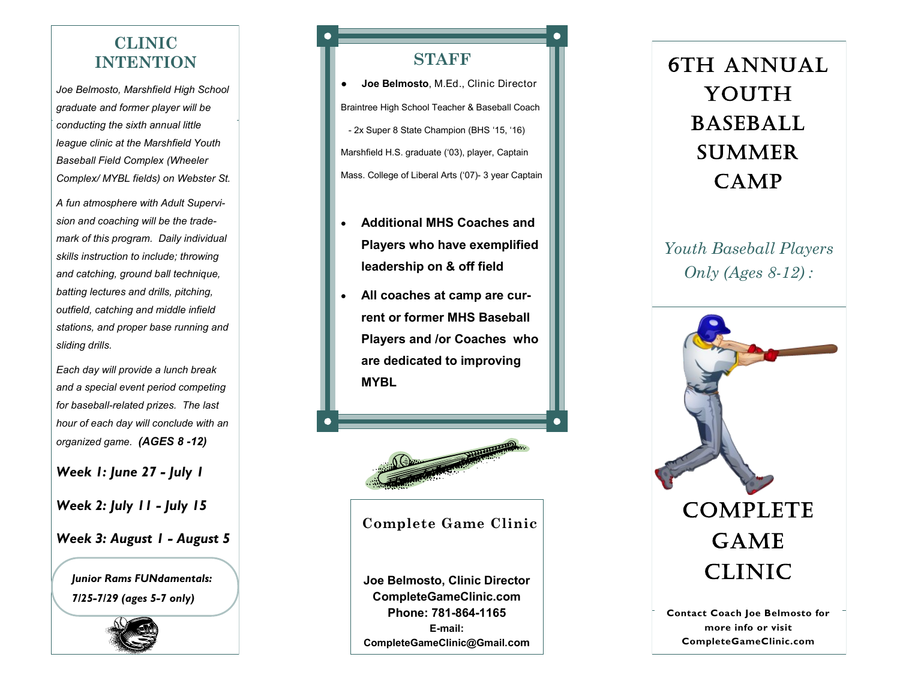## **CLINIC INTENTION**

*Joe Belmosto, Marshfield High School graduate and former player will be conducting the sixth annual little league clinic at the Marshfield Youth Baseball Field Complex (Wheeler Complex/ MYBL fields) on Webster St.* 

*A fun atmosphere with Adult Supervision and coaching will be the trademark of this program. Daily individual skills instruction to include; throwing and catching, ground ball technique, batting lectures and drills, pitching, outfield, catching and middle infield stations, and proper base running and sliding drills.*

*Each day will provide a lunch break and a special event period competing for baseball -related prizes. The last hour of each day will conclude with an organized game. (AGES 8 -12)*

*Week 1: June 27 - July 1*

*Week 2: July 11 - July 15*

#### *Week 3: August 1 - August 5*

*Junior Rams FUNdamentals: 7/25 -7/29 (ages 5 -7 only)*



#### **STAFF**

● **Joe Belmosto**, M.Ed., Clinic Director Braintree High School Teacher & Baseball Coach - 2x Super 8 State Champion (BHS '15, '16) Marshfield H.S. graduate ('03), player, Captain Mass. College of Liberal Arts ('07) - 3 year Captain

- **Additional MHS Coaches and Players who have exemplified leadership on & off field**
- **All coaches at camp are current or former MHS Baseball Players and /or Coaches who are dedicated to improving MYBL**



#### **Complete Game Clinic**

**Joe Belmosto, Clinic Director CompleteGameClinic.com Phone: 781 -864 -1165 E -mail: CompleteGameClinic@Gmail.com**

# 6th ANNUAL YOUTH **BASEBALL SUMMER** CAMP

*Youth Baseball Players Only (Ages 8 -12) :* 



**more info or visit CompleteGameClinic.com**